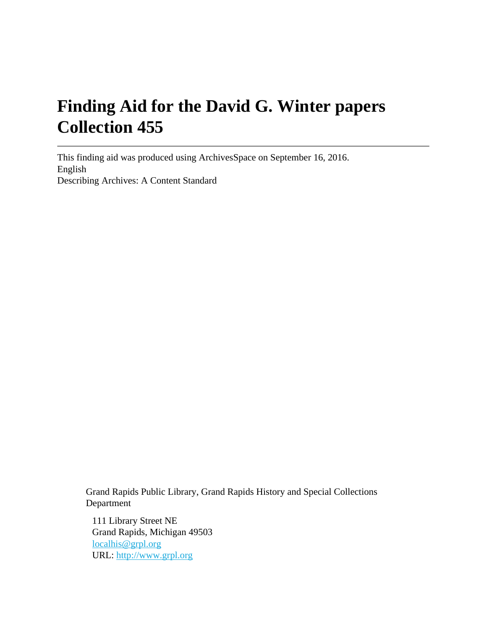# **Finding Aid for the David G. Winter papers Collection 455**

This finding aid was produced using ArchivesSpace on September 16, 2016. English Describing Archives: A Content Standard

Grand Rapids Public Library, Grand Rapids History and Special Collections Department

111 Library Street NE Grand Rapids, Michigan 49503 [localhis@grpl.org](mailto:localhis@grpl.org) URL:<http://www.grpl.org>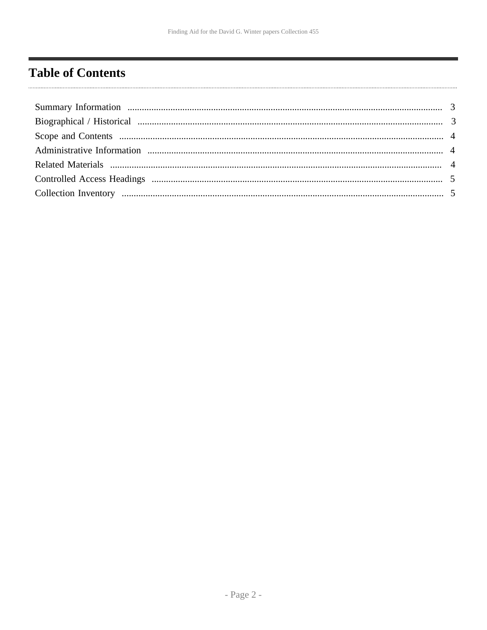# <span id="page-1-0"></span>**Table of Contents**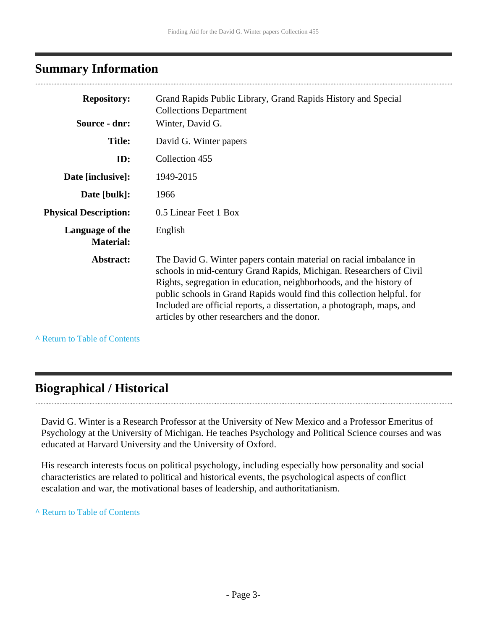### <span id="page-2-0"></span>**Summary Information**

| <b>Repository:</b>                  | Grand Rapids Public Library, Grand Rapids History and Special<br><b>Collections Department</b>                                                                                                                                                                                                                                                                                                                       |
|-------------------------------------|----------------------------------------------------------------------------------------------------------------------------------------------------------------------------------------------------------------------------------------------------------------------------------------------------------------------------------------------------------------------------------------------------------------------|
| Source - dnr:                       | Winter, David G.                                                                                                                                                                                                                                                                                                                                                                                                     |
| <b>Title:</b>                       | David G. Winter papers                                                                                                                                                                                                                                                                                                                                                                                               |
| ID:                                 | Collection 455                                                                                                                                                                                                                                                                                                                                                                                                       |
| Date [inclusive]:                   | 1949-2015                                                                                                                                                                                                                                                                                                                                                                                                            |
| Date [bulk]:                        | 1966                                                                                                                                                                                                                                                                                                                                                                                                                 |
| <b>Physical Description:</b>        | 0.5 Linear Feet 1 Box                                                                                                                                                                                                                                                                                                                                                                                                |
| Language of the<br><b>Material:</b> | English                                                                                                                                                                                                                                                                                                                                                                                                              |
| Abstract:                           | The David G. Winter papers contain material on racial imbalance in<br>schools in mid-century Grand Rapids, Michigan. Researchers of Civil<br>Rights, segregation in education, neighborhoods, and the history of<br>public schools in Grand Rapids would find this collection helpful. for<br>Included are official reports, a dissertation, a photograph, maps, and<br>articles by other researchers and the donor. |

**^** [Return to Table of Contents](#page-1-0)

# <span id="page-2-1"></span>**Biographical / Historical**

David G. Winter is a Research Professor at the University of New Mexico and a Professor Emeritus of Psychology at the University of Michigan. He teaches Psychology and Political Science courses and was educated at Harvard University and the University of Oxford.

His research interests focus on political psychology, including especially how personality and social characteristics are related to political and historical events, the psychological aspects of conflict escalation and war, the motivational bases of leadership, and authoritatianism.

**^** [Return to Table of Contents](#page-1-0)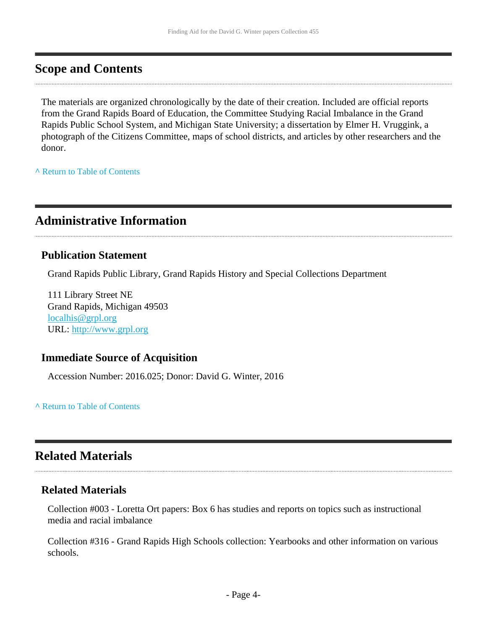## <span id="page-3-0"></span>**Scope and Contents**

The materials are organized chronologically by the date of their creation. Included are official reports from the Grand Rapids Board of Education, the Committee Studying Racial Imbalance in the Grand Rapids Public School System, and Michigan State University; a dissertation by Elmer H. Vruggink, a photograph of the Citizens Committee, maps of school districts, and articles by other researchers and the donor.

**^** [Return to Table of Contents](#page-1-0)

# <span id="page-3-1"></span>**Administrative Information**

#### **Publication Statement**

Grand Rapids Public Library, Grand Rapids History and Special Collections Department

111 Library Street NE Grand Rapids, Michigan 49503 [localhis@grpl.org](mailto:localhis@grpl.org) URL:<http://www.grpl.org>

#### **Immediate Source of Acquisition**

Accession Number: 2016.025; Donor: David G. Winter, 2016

**^** [Return to Table of Contents](#page-1-0)

# <span id="page-3-2"></span>**Related Materials**

#### **Related Materials**

Collection #003 - Loretta Ort papers: Box 6 has studies and reports on topics such as instructional media and racial imbalance

Collection #316 - Grand Rapids High Schools collection: Yearbooks and other information on various schools.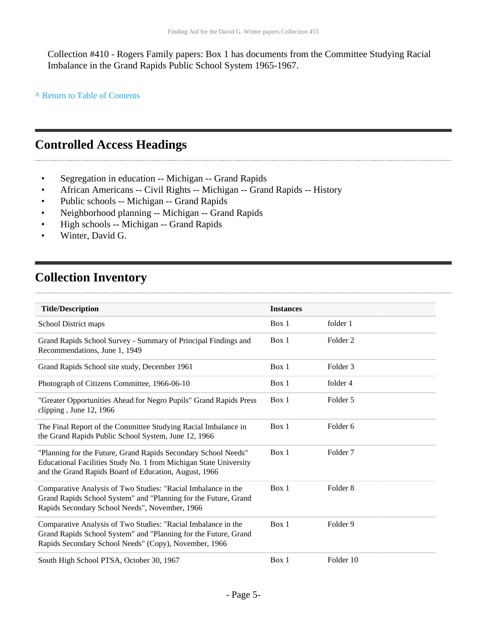Collection #410 - Rogers Family papers: Box 1 has documents from the Committee Studying Racial Imbalance in the Grand Rapids Public School System 1965-1967.

**^** [Return to Table of Contents](#page-1-0)

# <span id="page-4-0"></span>**Controlled Access Headings**

- Segregation in education -- Michigan -- Grand Rapids
- African Americans -- Civil Rights -- Michigan -- Grand Rapids -- History
- Public schools -- Michigan -- Grand Rapids
- Neighborhood planning -- Michigan -- Grand Rapids
- High schools -- Michigan -- Grand Rapids
- Winter, David G.

# <span id="page-4-1"></span>**Collection Inventory**

| <b>Title/Description</b>                                                                                                                                                                     | <b>Instances</b> |                     |
|----------------------------------------------------------------------------------------------------------------------------------------------------------------------------------------------|------------------|---------------------|
| School District maps                                                                                                                                                                         | Box 1            | folder 1            |
| Grand Rapids School Survey - Summary of Principal Findings and<br>Recommendations, June 1, 1949                                                                                              | Box 1            | Folder <sub>2</sub> |
| Grand Rapids School site study, December 1961                                                                                                                                                | Box 1            | Folder <sub>3</sub> |
| Photograph of Citizens Committee, 1966-06-10                                                                                                                                                 | Box 1            | folder 4            |
| "Greater Opportunities Ahead for Negro Pupils" Grand Rapids Press<br>clipping, June 12, 1966                                                                                                 | Box 1            | Folder 5            |
| The Final Report of the Committee Studying Racial Imbalance in<br>the Grand Rapids Public School System, June 12, 1966                                                                       | Box 1            | Folder 6            |
| "Planning for the Future, Grand Rapids Secondary School Needs"<br>Educational Facilities Study No. 1 from Michigan State University<br>and the Grand Rapids Board of Education, August, 1966 | Box 1            | Folder <sub>7</sub> |
| Comparative Analysis of Two Studies: "Racial Imbalance in the<br>Grand Rapids School System" and "Planning for the Future, Grand<br>Rapids Secondary School Needs", November, 1966           | Box 1            | Folder <sub>8</sub> |
| Comparative Analysis of Two Studies: "Racial Imbalance in the<br>Grand Rapids School System" and "Planning for the Future, Grand<br>Rapids Secondary School Needs" (Copy), November, 1966    | Box 1            | Folder 9            |
| South High School PTSA, October 30, 1967                                                                                                                                                     | Box 1            | Folder 10           |